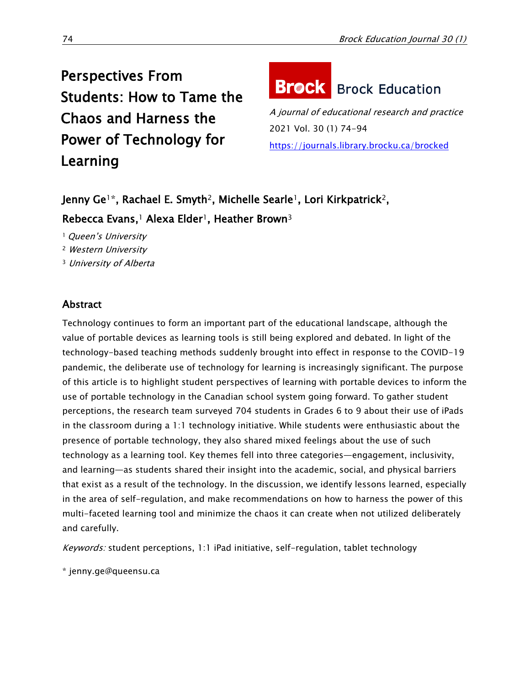Perspectives From Students: How to Tame the Chaos and Harness the Power of Technology for Learning

# **Brock** Brock Education

A journal of educational research and practice 2021 Vol. 30 (1) 74-94 <https://journals.library.brocku.ca/brocked>

Jenny Ge<sup>1\*</sup>, Rachael E. Smyth<sup>2</sup>, Michelle Searle<sup>1</sup>, Lori Kirkpatrick<sup>2</sup>, Rebecca Evans,<sup>1</sup> Alexa Elder<sup>1</sup>, Heather Brown<sup>3</sup>

<sup>1</sup> Queen's University

<sup>2</sup> Western University

<sup>3</sup> University of Alberta

# **Abstract**

Technology continues to form an important part of the educational landscape, although the value of portable devices as learning tools is still being explored and debated. In light of the technology-based teaching methods suddenly brought into effect in response to the COVID-19 pandemic, the deliberate use of technology for learning is increasingly significant. The purpose of this article is to highlight student perspectives of learning with portable devices to inform the use of portable technology in the Canadian school system going forward. To gather student perceptions, the research team surveyed 704 students in Grades 6 to 9 about their use of iPads in the classroom during a 1:1 technology initiative. While students were enthusiastic about the presence of portable technology, they also shared mixed feelings about the use of such technology as a learning tool. Key themes fell into three categories—engagement, inclusivity, and learning—as students shared their insight into the academic, social, and physical barriers that exist as a result of the technology. In the discussion, we identify lessons learned, especially in the area of self-regulation, and make recommendations on how to harness the power of this multi-faceted learning tool and minimize the chaos it can create when not utilized deliberately and carefully.

Keywords: student perceptions, 1:1 iPad initiative, self-regulation, tablet technology

\* jenny.ge@queensu.ca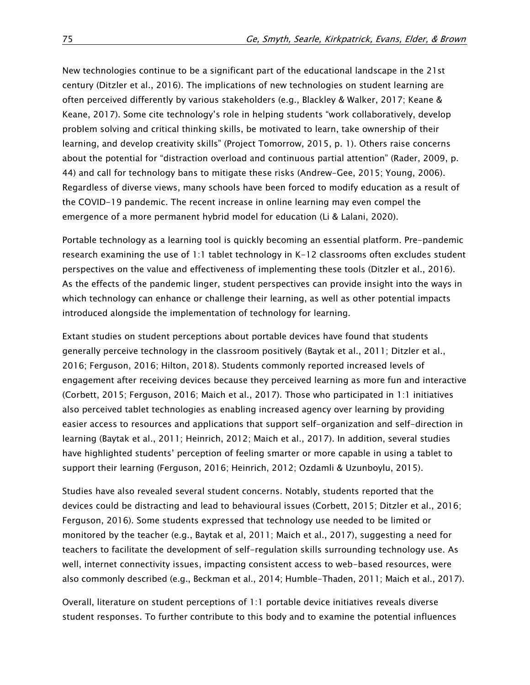New technologies continue to be a significant part of the educational landscape in the 21st century (Ditzler et al., 2016). The implications of new technologies on student learning are often perceived differently by various stakeholders (e.g., Blackley & Walker, 2017; Keane & Keane, 2017). Some cite technology's role in helping students "work collaboratively, develop problem solving and critical thinking skills, be motivated to learn, take ownership of their learning, and develop creativity skills" (Project Tomorrow, 2015, p. 1). Others raise concerns about the potential for "distraction overload and continuous partial attention" (Rader, 2009, p. 44) and call for technology bans to mitigate these risks (Andrew-Gee, 2015; Young, 2006). Regardless of diverse views, many schools have been forced to modify education as a result of the COVID-19 pandemic. The recent increase in online learning may even compel the emergence of a more permanent hybrid model for education (Li & Lalani, 2020).

Portable technology as a learning tool is quickly becoming an essential platform. Pre-pandemic research examining the use of 1:1 tablet technology in K-12 classrooms often excludes student perspectives on the value and effectiveness of implementing these tools (Ditzler et al., 2016). As the effects of the pandemic linger, student perspectives can provide insight into the ways in which technology can enhance or challenge their learning, as well as other potential impacts introduced alongside the implementation of technology for learning.

Extant studies on student perceptions about portable devices have found that students generally perceive technology in the classroom positively (Baytak et al., 2011; Ditzler et al., 2016; Ferguson, 2016; Hilton, 2018). Students commonly reported increased levels of engagement after receiving devices because they perceived learning as more fun and interactive (Corbett, 2015; Ferguson, 2016; Maich et al., 2017). Those who participated in 1:1 initiatives also perceived tablet technologies as enabling increased agency over learning by providing easier access to resources and applications that support self-organization and self-direction in learning (Baytak et al., 2011; Heinrich, 2012; Maich et al., 2017). In addition, several studies have highlighted students' perception of feeling smarter or more capable in using a tablet to support their learning (Ferguson, 2016; Heinrich, 2012; Ozdamli & Uzunboylu, 2015).

Studies have also revealed several student concerns. Notably, students reported that the devices could be distracting and lead to behavioural issues (Corbett, 2015; Ditzler et al., 2016; Ferguson, 2016). Some students expressed that technology use needed to be limited or monitored by the teacher (e.g., Baytak et al, 2011; Maich et al., 2017), suggesting a need for teachers to facilitate the development of self-regulation skills surrounding technology use. As well, internet connectivity issues, impacting consistent access to web-based resources, were also commonly described (e.g., Beckman et al., 2014; Humble-Thaden, 2011; Maich et al., 2017).

Overall, literature on student perceptions of 1:1 portable device initiatives reveals diverse student responses. To further contribute to this body and to examine the potential influences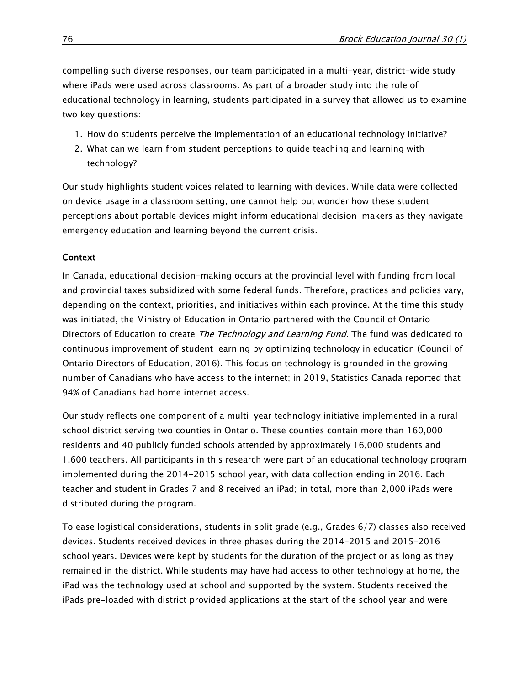compelling such diverse responses, our team participated in a multi-year, district-wide study where iPads were used across classrooms. As part of a broader study into the role of educational technology in learning, students participated in a survey that allowed us to examine two key questions:

- 1. How do students perceive the implementation of an educational technology initiative?
- 2. What can we learn from student perceptions to guide teaching and learning with technology?

Our study highlights student voices related to learning with devices. While data were collected on device usage in a classroom setting, one cannot help but wonder how these student perceptions about portable devices might inform educational decision-makers as they navigate emergency education and learning beyond the current crisis.

# Context

In Canada, educational decision-making occurs at the provincial level with funding from local and provincial taxes subsidized with some federal funds. Therefore, practices and policies vary, depending on the context, priorities, and initiatives within each province. At the time this study was initiated, the Ministry of Education in Ontario partnered with the Council of Ontario Directors of Education to create The Technology and Learning Fund. The fund was dedicated to continuous improvement of student learning by optimizing technology in education (Council of Ontario Directors of Education, 2016). This focus on technology is grounded in the growing number of Canadians who have access to the internet; in 2019, Statistics Canada reported that 94% of Canadians had home internet access.

Our study reflects one component of a multi-year technology initiative implemented in a rural school district serving two counties in Ontario. These counties contain more than 160,000 residents and 40 publicly funded schools attended by approximately 16,000 students and 1,600 teachers. All participants in this research were part of an educational technology program implemented during the 2014-2015 school year, with data collection ending in 2016. Each teacher and student in Grades 7 and 8 received an iPad; in total, more than 2,000 iPads were distributed during the program.

To ease logistical considerations, students in split grade (e.g., Grades 6/7) classes also received devices. Students received devices in three phases during the 2014–2015 and 2015–2016 school years. Devices were kept by students for the duration of the project or as long as they remained in the district. While students may have had access to other technology at home, the iPad was the technology used at school and supported by the system. Students received the iPads pre-loaded with district provided applications at the start of the school year and were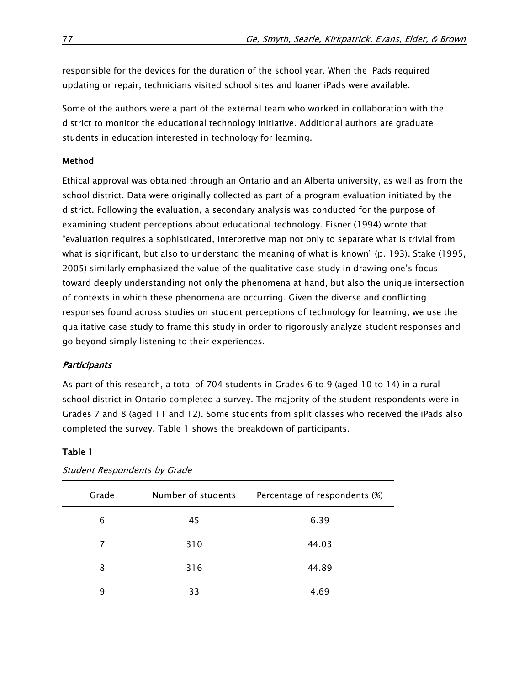responsible for the devices for the duration of the school year. When the iPads required updating or repair, technicians visited school sites and loaner iPads were available.

Some of the authors were a part of the external team who worked in collaboration with the district to monitor the educational technology initiative. Additional authors are graduate students in education interested in technology for learning.

### Method

Ethical approval was obtained through an Ontario and an Alberta university, as well as from the school district. Data were originally collected as part of a program evaluation initiated by the district. Following the evaluation, a secondary analysis was conducted for the purpose of examining student perceptions about educational technology. Eisner (1994) wrote that "evaluation requires a sophisticated, interpretive map not only to separate what is trivial from what is significant, but also to understand the meaning of what is known" (p. 193). Stake (1995, 2005) similarly emphasized the value of the qualitative case study in drawing one's focus toward deeply understanding not only the phenomena at hand, but also the unique intersection of contexts in which these phenomena are occurring. Given the diverse and conflicting responses found across studies on student perceptions of technology for learning, we use the qualitative case study to frame this study in order to rigorously analyze student responses and go beyond simply listening to their experiences.

#### **Participants**

As part of this research, a total of 704 students in Grades 6 to 9 (aged 10 to 14) in a rural school district in Ontario completed a survey. The majority of the student respondents were in Grades 7 and 8 (aged 11 and 12). Some students from split classes who received the iPads also completed the survey. Table 1 shows the breakdown of participants.

## Table 1

| Grade | Number of students | Percentage of respondents (%) |
|-------|--------------------|-------------------------------|
| 6     | 45                 | 6.39                          |
| 7     | 310                | 44.03                         |
| 8     | 316                | 44.89                         |
| 9     | 33                 | 4.69                          |

Student Respondents by Grade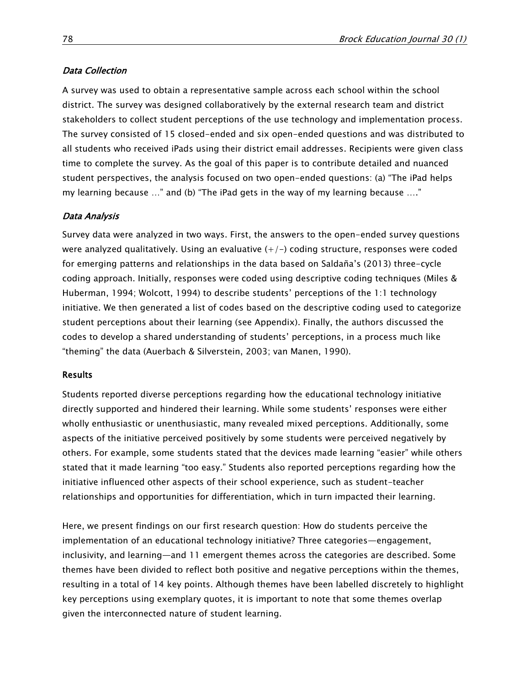## Data Collection

A survey was used to obtain a representative sample across each school within the school district. The survey was designed collaboratively by the external research team and district stakeholders to collect student perceptions of the use technology and implementation process. The survey consisted of 15 closed-ended and six open-ended questions and was distributed to all students who received iPads using their district email addresses. Recipients were given class time to complete the survey. As the goal of this paper is to contribute detailed and nuanced student perspectives, the analysis focused on two open-ended questions: (a) "The iPad helps my learning because …" and (b) "The iPad gets in the way of my learning because …."

#### Data Analysis

Survey data were analyzed in two ways. First, the answers to the open-ended survey questions were analyzed qualitatively. Using an evaluative  $(+/-)$  coding structure, responses were coded for emerging patterns and relationships in the data based on Saldaña's (2013) three-cycle coding approach. Initially, responses were coded using descriptive coding techniques (Miles & Huberman, 1994; Wolcott, 1994) to describe students' perceptions of the 1:1 technology initiative. We then generated a list of codes based on the descriptive coding used to categorize student perceptions about their learning (see Appendix). Finally, the authors discussed the codes to develop a shared understanding of students' perceptions, in a process much like "theming" the data (Auerbach & Silverstein, 2003; van Manen, 1990).

#### Results

Students reported diverse perceptions regarding how the educational technology initiative directly supported and hindered their learning. While some students' responses were either wholly enthusiastic or unenthusiastic, many revealed mixed perceptions. Additionally, some aspects of the initiative perceived positively by some students were perceived negatively by others. For example, some students stated that the devices made learning "easier" while others stated that it made learning "too easy." Students also reported perceptions regarding how the initiative influenced other aspects of their school experience, such as student-teacher relationships and opportunities for differentiation, which in turn impacted their learning.

Here, we present findings on our first research question: How do students perceive the implementation of an educational technology initiative? Three categories—engagement, inclusivity, and learning—and 11 emergent themes across the categories are described. Some themes have been divided to reflect both positive and negative perceptions within the themes, resulting in a total of 14 key points. Although themes have been labelled discretely to highlight key perceptions using exemplary quotes, it is important to note that some themes overlap given the interconnected nature of student learning.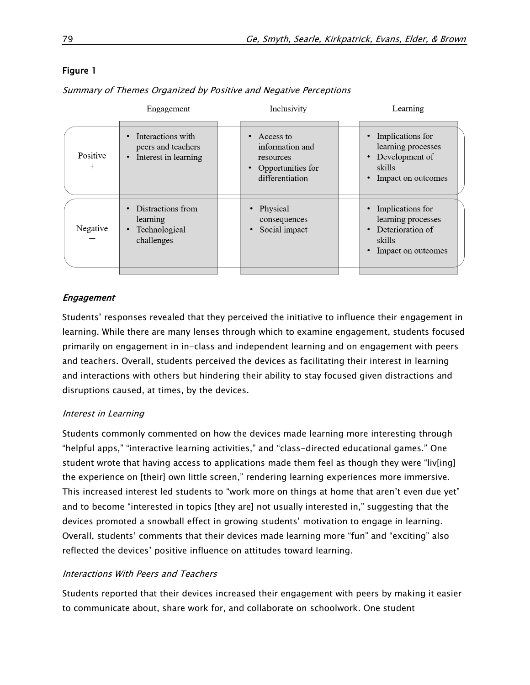## Figure 1

Summary of Themes Organized by Positive and Negative Perceptions

| Engagement       |                                                                 | Inclusivity |                                                                                   | Learning |                                                                                            |
|------------------|-----------------------------------------------------------------|-------------|-----------------------------------------------------------------------------------|----------|--------------------------------------------------------------------------------------------|
| Positive<br>$^+$ | Interactions with<br>peers and teachers<br>Interest in learning |             | Access to<br>information and<br>resources<br>Opportunities for<br>differentiation |          | Implications for<br>learning processes<br>Development of<br>skills<br>Impact on outcomes   |
| Negative         | Distractions from<br>learning<br>Technological<br>challenges    |             | Physical<br>consequences<br>Social impact                                         |          | Implications for<br>learning processes<br>Deterioration of<br>skills<br>Impact on outcomes |
|                  |                                                                 |             |                                                                                   |          |                                                                                            |

## Engagement

Students' responses revealed that they perceived the initiative to influence their engagement in learning. While there are many lenses through which to examine engagement, students focused primarily on engagement in in-class and independent learning and on engagement with peers and teachers. Overall, students perceived the devices as facilitating their interest in learning and interactions with others but hindering their ability to stay focused given distractions and disruptions caused, at times, by the devices.

#### Interest in Learning

Students commonly commented on how the devices made learning more interesting through "helpful apps," "interactive learning activities," and "class-directed educational games." One student wrote that having access to applications made them feel as though they were "liv[ing] the experience on [their] own little screen," rendering learning experiences more immersive. This increased interest led students to "work more on things at home that aren't even due yet" and to become "interested in topics [they are] not usually interested in," suggesting that the devices promoted a snowball effect in growing students' motivation to engage in learning. Overall, students' comments that their devices made learning more "fun" and "exciting" also reflected the devices' positive influence on attitudes toward learning.

#### Interactions With Peers and Teachers

Students reported that their devices increased their engagement with peers by making it easier to communicate about, share work for, and collaborate on schoolwork. One student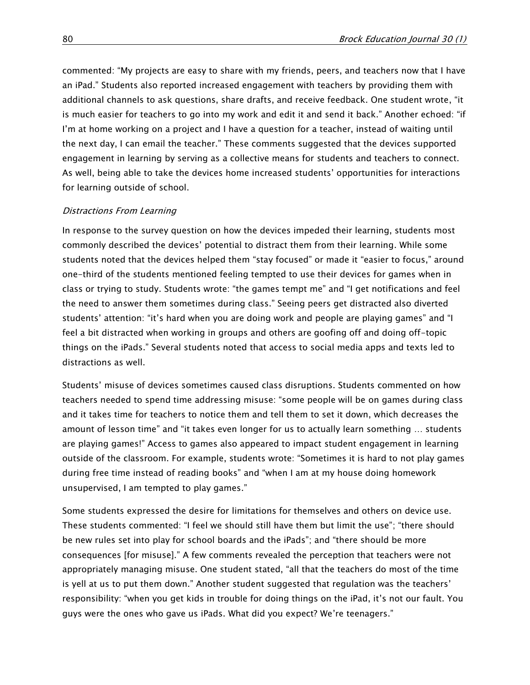commented: "My projects are easy to share with my friends, peers, and teachers now that I have an iPad." Students also reported increased engagement with teachers by providing them with additional channels to ask questions, share drafts, and receive feedback. One student wrote, "it is much easier for teachers to go into my work and edit it and send it back." Another echoed: "if I'm at home working on a project and I have a question for a teacher, instead of waiting until the next day, I can email the teacher." These comments suggested that the devices supported engagement in learning by serving as a collective means for students and teachers to connect. As well, being able to take the devices home increased students' opportunities for interactions for learning outside of school.

#### Distractions From Learning

In response to the survey question on how the devices impeded their learning, students most commonly described the devices' potential to distract them from their learning. While some students noted that the devices helped them "stay focused" or made it "easier to focus," around one-third of the students mentioned feeling tempted to use their devices for games when in class or trying to study. Students wrote: "the games tempt me" and "I get notifications and feel the need to answer them sometimes during class." Seeing peers get distracted also diverted students' attention: "it's hard when you are doing work and people are playing games" and "I feel a bit distracted when working in groups and others are goofing off and doing off-topic things on the iPads." Several students noted that access to social media apps and texts led to distractions as well.

Students' misuse of devices sometimes caused class disruptions. Students commented on how teachers needed to spend time addressing misuse: "some people will be on games during class and it takes time for teachers to notice them and tell them to set it down, which decreases the amount of lesson time" and "it takes even longer for us to actually learn something … students are playing games!" Access to games also appeared to impact student engagement in learning outside of the classroom. For example, students wrote: "Sometimes it is hard to not play games during free time instead of reading books" and "when I am at my house doing homework unsupervised, I am tempted to play games."

Some students expressed the desire for limitations for themselves and others on device use. These students commented: "I feel we should still have them but limit the use"; "there should be new rules set into play for school boards and the iPads"; and "there should be more consequences [for misuse]." A few comments revealed the perception that teachers were not appropriately managing misuse. One student stated, "all that the teachers do most of the time is yell at us to put them down." Another student suggested that regulation was the teachers' responsibility: "when you get kids in trouble for doing things on the iPad, it's not our fault. You guys were the ones who gave us iPads. What did you expect? We're teenagers."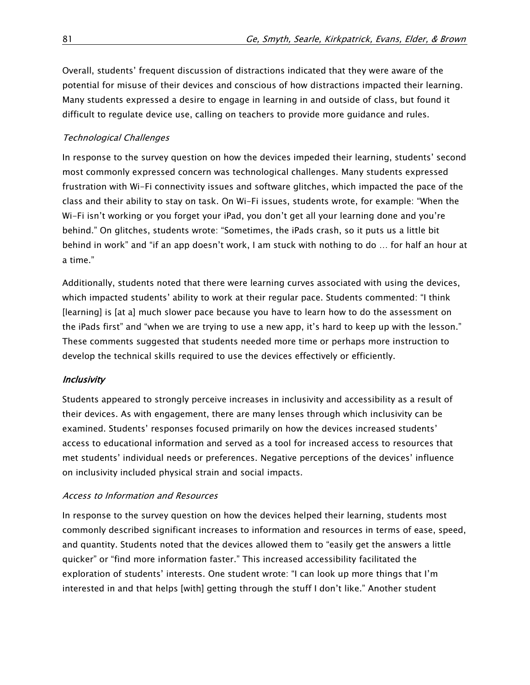Overall, students' frequent discussion of distractions indicated that they were aware of the potential for misuse of their devices and conscious of how distractions impacted their learning. Many students expressed a desire to engage in learning in and outside of class, but found it difficult to regulate device use, calling on teachers to provide more guidance and rules.

## Technological Challenges

In response to the survey question on how the devices impeded their learning, students' second most commonly expressed concern was technological challenges. Many students expressed frustration with Wi-Fi connectivity issues and software glitches, which impacted the pace of the class and their ability to stay on task. On Wi-Fi issues, students wrote, for example: "When the Wi-Fi isn't working or you forget your iPad, you don't get all your learning done and you're behind." On glitches, students wrote: "Sometimes, the iPads crash, so it puts us a little bit behind in work" and "if an app doesn't work, I am stuck with nothing to do … for half an hour at a time."

Additionally, students noted that there were learning curves associated with using the devices, which impacted students' ability to work at their regular pace. Students commented: "I think [learning] is [at a] much slower pace because you have to learn how to do the assessment on the iPads first" and "when we are trying to use a new app, it's hard to keep up with the lesson." These comments suggested that students needed more time or perhaps more instruction to develop the technical skills required to use the devices effectively or efficiently.

## **Inclusivity**

Students appeared to strongly perceive increases in inclusivity and accessibility as a result of their devices. As with engagement, there are many lenses through which inclusivity can be examined. Students' responses focused primarily on how the devices increased students' access to educational information and served as a tool for increased access to resources that met students' individual needs or preferences. Negative perceptions of the devices' influence on inclusivity included physical strain and social impacts.

## Access to Information and Resources

In response to the survey question on how the devices helped their learning, students most commonly described significant increases to information and resources in terms of ease, speed, and quantity. Students noted that the devices allowed them to "easily get the answers a little quicker" or "find more information faster." This increased accessibility facilitated the exploration of students' interests. One student wrote: "I can look up more things that I'm interested in and that helps [with] getting through the stuff I don't like." Another student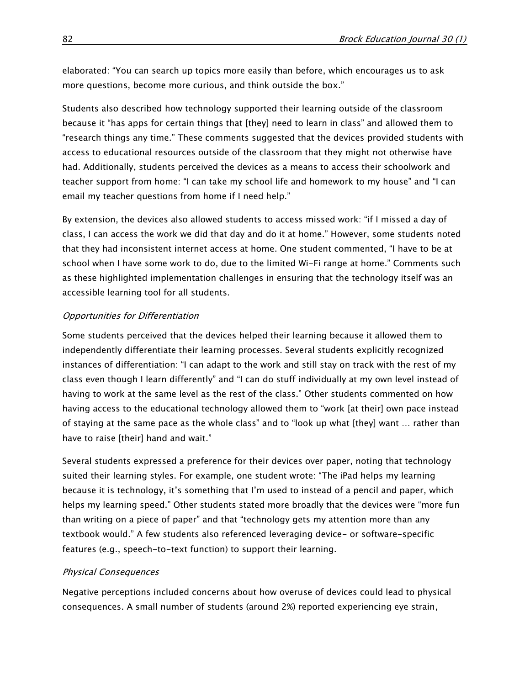elaborated: "You can search up topics more easily than before, which encourages us to ask more questions, become more curious, and think outside the box."

Students also described how technology supported their learning outside of the classroom because it "has apps for certain things that [they] need to learn in class" and allowed them to "research things any time." These comments suggested that the devices provided students with access to educational resources outside of the classroom that they might not otherwise have had. Additionally, students perceived the devices as a means to access their schoolwork and teacher support from home: "I can take my school life and homework to my house" and "I can email my teacher questions from home if I need help."

By extension, the devices also allowed students to access missed work: "if I missed a day of class, I can access the work we did that day and do it at home." However, some students noted that they had inconsistent internet access at home. One student commented, "I have to be at school when I have some work to do, due to the limited Wi-Fi range at home." Comments such as these highlighted implementation challenges in ensuring that the technology itself was an accessible learning tool for all students.

#### Opportunities for Differentiation

Some students perceived that the devices helped their learning because it allowed them to independently differentiate their learning processes. Several students explicitly recognized instances of differentiation: "I can adapt to the work and still stay on track with the rest of my class even though I learn differently" and "I can do stuff individually at my own level instead of having to work at the same level as the rest of the class." Other students commented on how having access to the educational technology allowed them to "work [at their] own pace instead of staying at the same pace as the whole class" and to "look up what [they] want … rather than have to raise [their] hand and wait."

Several students expressed a preference for their devices over paper, noting that technology suited their learning styles. For example, one student wrote: "The iPad helps my learning because it is technology, it's something that I'm used to instead of a pencil and paper, which helps my learning speed." Other students stated more broadly that the devices were "more fun than writing on a piece of paper" and that "technology gets my attention more than any textbook would." A few students also referenced leveraging device- or software-specific features (e.g., speech-to-text function) to support their learning.

#### Physical Consequences

Negative perceptions included concerns about how overuse of devices could lead to physical consequences. A small number of students (around 2%) reported experiencing eye strain,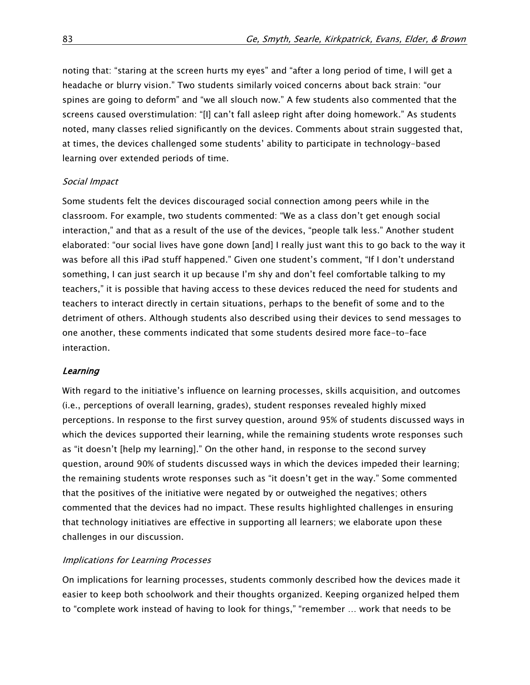noting that: "staring at the screen hurts my eyes" and "after a long period of time, I will get a headache or blurry vision." Two students similarly voiced concerns about back strain: "our spines are going to deform" and "we all slouch now." A few students also commented that the screens caused overstimulation: "[I] can't fall asleep right after doing homework." As students noted, many classes relied significantly on the devices. Comments about strain suggested that, at times, the devices challenged some students' ability to participate in technology-based learning over extended periods of time.

#### Social Impact

Some students felt the devices discouraged social connection among peers while in the classroom. For example, two students commented: "We as a class don't get enough social interaction," and that as a result of the use of the devices, "people talk less." Another student elaborated: "our social lives have gone down [and] I really just want this to go back to the way it was before all this iPad stuff happened." Given one student's comment, "If I don't understand something, I can just search it up because I'm shy and don't feel comfortable talking to my teachers," it is possible that having access to these devices reduced the need for students and teachers to interact directly in certain situations, perhaps to the benefit of some and to the detriment of others. Although students also described using their devices to send messages to one another, these comments indicated that some students desired more face-to-face interaction.

## **Learning**

With regard to the initiative's influence on learning processes, skills acquisition, and outcomes (i.e., perceptions of overall learning, grades), student responses revealed highly mixed perceptions. In response to the first survey question, around 95% of students discussed ways in which the devices supported their learning, while the remaining students wrote responses such as "it doesn't [help my learning]." On the other hand, in response to the second survey question, around 90% of students discussed ways in which the devices impeded their learning; the remaining students wrote responses such as "it doesn't get in the way." Some commented that the positives of the initiative were negated by or outweighed the negatives; others commented that the devices had no impact. These results highlighted challenges in ensuring that technology initiatives are effective in supporting all learners; we elaborate upon these challenges in our discussion.

#### Implications for Learning Processes

On implications for learning processes, students commonly described how the devices made it easier to keep both schoolwork and their thoughts organized. Keeping organized helped them to "complete work instead of having to look for things," "remember … work that needs to be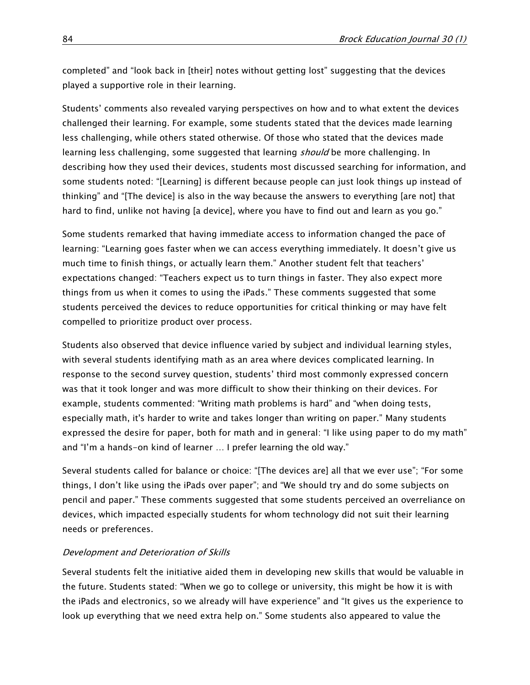completed" and "look back in [their] notes without getting lost" suggesting that the devices played a supportive role in their learning.

Students' comments also revealed varying perspectives on how and to what extent the devices challenged their learning. For example, some students stated that the devices made learning less challenging, while others stated otherwise. Of those who stated that the devices made learning less challenging, some suggested that learning *should* be more challenging. In describing how they used their devices, students most discussed searching for information, and some students noted: "[Learning] is different because people can just look things up instead of thinking" and "[The device] is also in the way because the answers to everything [are not] that hard to find, unlike not having [a device], where you have to find out and learn as you go."

Some students remarked that having immediate access to information changed the pace of learning: "Learning goes faster when we can access everything immediately. It doesn't give us much time to finish things, or actually learn them." Another student felt that teachers' expectations changed: "Teachers expect us to turn things in faster. They also expect more things from us when it comes to using the iPads." These comments suggested that some students perceived the devices to reduce opportunities for critical thinking or may have felt compelled to prioritize product over process.

Students also observed that device influence varied by subject and individual learning styles, with several students identifying math as an area where devices complicated learning. In response to the second survey question, students' third most commonly expressed concern was that it took longer and was more difficult to show their thinking on their devices. For example, students commented: "Writing math problems is hard" and "when doing tests, especially math, it's harder to write and takes longer than writing on paper." Many students expressed the desire for paper, both for math and in general: "I like using paper to do my math" and "I'm a hands-on kind of learner … I prefer learning the old way."

Several students called for balance or choice: "[The devices are] all that we ever use"; "For some things, I don't like using the iPads over paper"; and "We should try and do some subjects on pencil and paper." These comments suggested that some students perceived an overreliance on devices, which impacted especially students for whom technology did not suit their learning needs or preferences.

#### Development and Deterioration of Skills

Several students felt the initiative aided them in developing new skills that would be valuable in the future. Students stated: "When we go to college or university, this might be how it is with the iPads and electronics, so we already will have experience" and "It gives us the experience to look up everything that we need extra help on." Some students also appeared to value the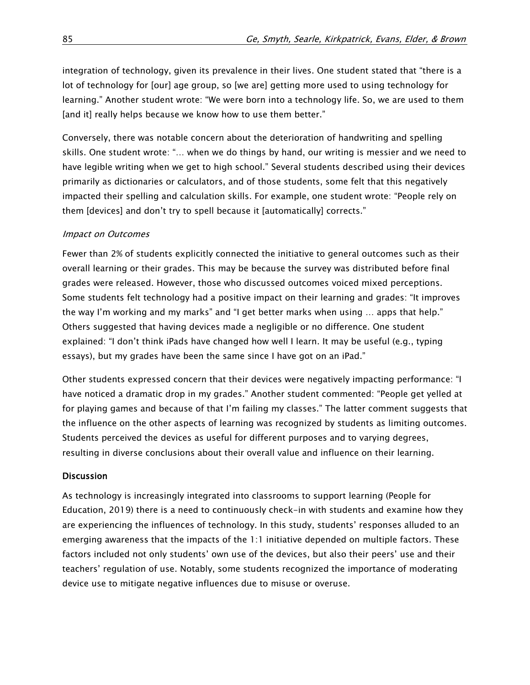integration of technology, given its prevalence in their lives. One student stated that "there is a lot of technology for [our] age group, so [we are] getting more used to using technology for learning." Another student wrote: "We were born into a technology life. So, we are used to them [and it] really helps because we know how to use them better."

Conversely, there was notable concern about the deterioration of handwriting and spelling skills. One student wrote: "… when we do things by hand, our writing is messier and we need to have legible writing when we get to high school." Several students described using their devices primarily as dictionaries or calculators, and of those students, some felt that this negatively impacted their spelling and calculation skills. For example, one student wrote: "People rely on them [devices] and don't try to spell because it [automatically] corrects."

#### Impact on Outcomes

Fewer than 2% of students explicitly connected the initiative to general outcomes such as their overall learning or their grades. This may be because the survey was distributed before final grades were released. However, those who discussed outcomes voiced mixed perceptions. Some students felt technology had a positive impact on their learning and grades: "It improves the way I'm working and my marks" and "I get better marks when using … apps that help." Others suggested that having devices made a negligible or no difference. One student explained: "I don't think iPads have changed how well I learn. It may be useful (e.g., typing essays), but my grades have been the same since I have got on an iPad."

Other students expressed concern that their devices were negatively impacting performance: "I have noticed a dramatic drop in my grades." Another student commented: "People get yelled at for playing games and because of that I'm failing my classes." The latter comment suggests that the influence on the other aspects of learning was recognized by students as limiting outcomes. Students perceived the devices as useful for different purposes and to varying degrees, resulting in diverse conclusions about their overall value and influence on their learning.

#### **Discussion**

As technology is increasingly integrated into classrooms to support learning (People for Education, 2019) there is a need to continuously check-in with students and examine how they are experiencing the influences of technology. In this study, students' responses alluded to an emerging awareness that the impacts of the 1:1 initiative depended on multiple factors. These factors included not only students' own use of the devices, but also their peers' use and their teachers' regulation of use. Notably, some students recognized the importance of moderating device use to mitigate negative influences due to misuse or overuse.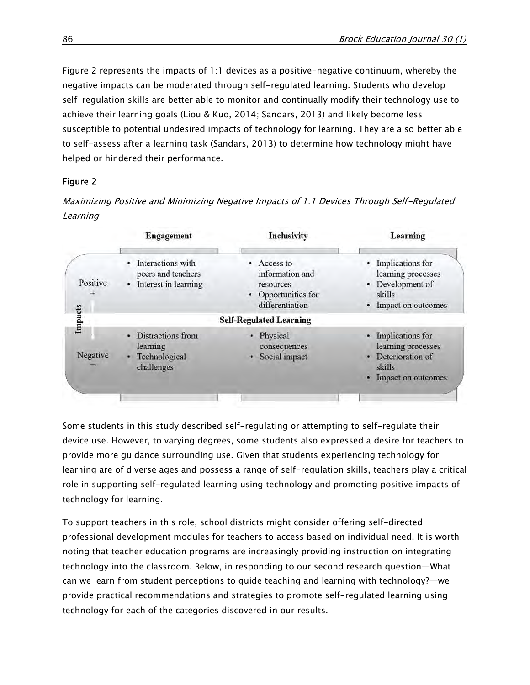Figure 2 represents the impacts of 1:1 devices as a positive-negative continuum, whereby the negative impacts can be moderated through self-regulated learning. Students who develop self-regulation skills are better able to monitor and continually modify their technology use to achieve their learning goals (Liou & Kuo, 2014; Sandars, 2013) and likely become less susceptible to potential undesired impacts of technology for learning. They are also better able to self-assess after a learning task (Sandars, 2013) to determine how technology might have helped or hindered their performance.

# Figure 2

Maximizing Positive and Minimizing Negative Impacts of 1:1 Devices Through Self-Regulated Learning

|          | <b>Engagement</b>                                               | <b>Inclusivity</b>                                                                       | Learning                                                                                               |
|----------|-----------------------------------------------------------------|------------------------------------------------------------------------------------------|--------------------------------------------------------------------------------------------------------|
| Positive | Interactions with<br>peers and teachers<br>Interest in learning | • Access to<br>information and<br>resources<br>Opportunities for<br>٠<br>differentiation | • Implications for<br>learning processes<br>• Development of<br>skills<br>• Impact on outcomes         |
| Impacts  |                                                                 | <b>Self-Regulated Learning</b>                                                           |                                                                                                        |
| Negative | Distractions from<br>learning<br>Technological<br>challenges    | • Physical<br>consequences<br>Social impact                                              | • Implications for<br>learning processes<br>Deterioration of<br>۰<br>skills<br>Impact on outcomes<br>۰ |

Some students in this study described self-regulating or attempting to self-regulate their device use. However, to varying degrees, some students also expressed a desire for teachers to provide more guidance surrounding use. Given that students experiencing technology for learning are of diverse ages and possess a range of self-regulation skills, teachers play a critical role in supporting self-regulated learning using technology and promoting positive impacts of technology for learning.

To support teachers in this role, school districts might consider offering self-directed professional development modules for teachers to access based on individual need. It is worth noting that teacher education programs are increasingly providing instruction on integrating technology into the classroom. Below, in responding to our second research question—What can we learn from student perceptions to guide teaching and learning with technology?—we provide practical recommendations and strategies to promote self-regulated learning using technology for each of the categories discovered in our results.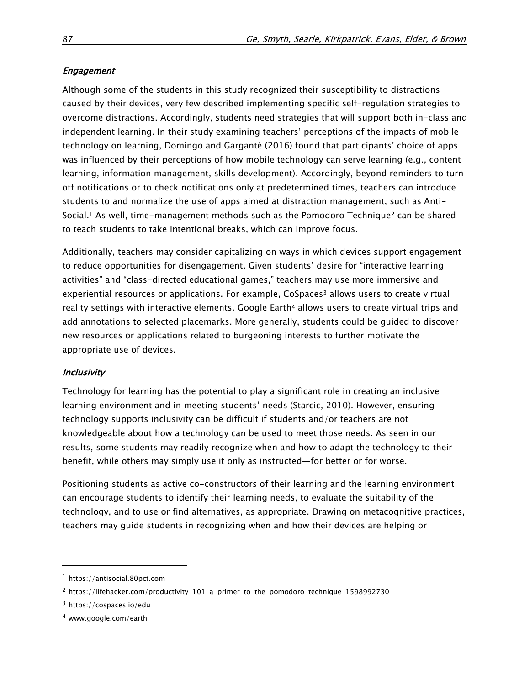## Engagement

Although some of the students in this study recognized their susceptibility to distractions caused by their devices, very few described implementing specific self-regulation strategies to overcome distractions. Accordingly, students need strategies that will support both in-class and independent learning. In their study examining teachers' perceptions of the impacts of mobile technology on learning, Domingo and Garganté (2016) found that participants' choice of apps was influenced by their perceptions of how mobile technology can serve learning (e.g., content learning, information management, skills development). Accordingly, beyond reminders to turn off notifications or to check notifications only at predetermined times, teachers can introduce students to and normalize the use of apps aimed at distraction management, such as Anti-Social.<sup>1</sup> As well, time-management methods such as the Pomodoro Technique<sup>2</sup> can be shared to teach students to take intentional breaks, which can improve focus.

Additionally, teachers may consider capitalizing on ways in which devices support engagement to reduce opportunities for disengagement. Given students' desire for "interactive learning activities" and "class-directed educational games," teachers may use more immersive and experiential resources or applications. For example, CoSpaces<sup>3</sup> allows users to create virtual reality settings with interactive elements. Google Earth<sup>4</sup> allows users to create virtual trips and add annotations to selected placemarks. More generally, students could be guided to discover new resources or applications related to burgeoning interests to further motivate the appropriate use of devices.

#### Inclusivity

Technology for learning has the potential to play a significant role in creating an inclusive learning environment and in meeting students' needs (Starcic, 2010). However, ensuring technology supports inclusivity can be difficult if students and/or teachers are not knowledgeable about how a technology can be used to meet those needs. As seen in our results, some students may readily recognize when and how to adapt the technology to their benefit, while others may simply use it only as instructed—for better or for worse.

Positioning students as active co-constructors of their learning and the learning environment can encourage students to identify their learning needs, to evaluate the suitability of the technology, and to use or find alternatives, as appropriate. Drawing on metacognitive practices, teachers may guide students in recognizing when and how their devices are helping or

l

<sup>1</sup> [https://antisocial.80pct.com](https://antisocial.80pct.com/)

<sup>2</sup> <https://lifehacker.com/productivity-101-a-primer-to-the-pomodoro-technique-1598992730>

<sup>3</sup> <https://cospaces.io/edu>

<sup>4</sup> [www.google.com/earth](file:///E:/www.google.com/earth)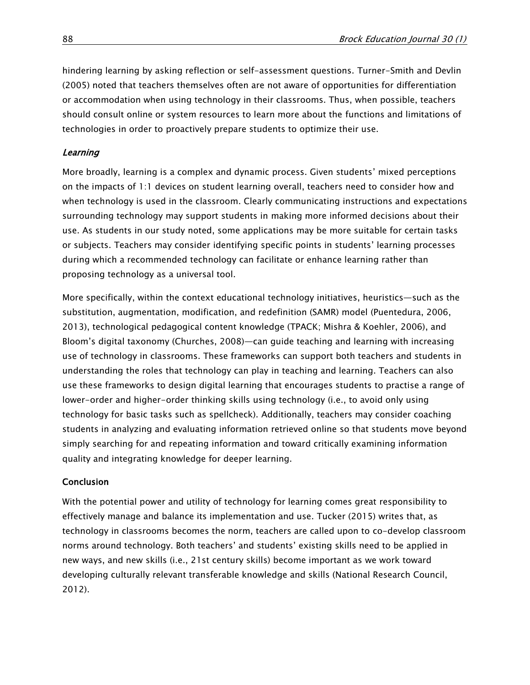hindering learning by asking reflection or self-assessment questions. Turner-Smith and Devlin (2005) noted that teachers themselves often are not aware of opportunities for differentiation or accommodation when using technology in their classrooms. Thus, when possible, teachers should consult online or system resources to learn more about the functions and limitations of technologies in order to proactively prepare students to optimize their use.

## **Learning**

More broadly, learning is a complex and dynamic process. Given students' mixed perceptions on the impacts of 1:1 devices on student learning overall, teachers need to consider how and when technology is used in the classroom. Clearly communicating instructions and expectations surrounding technology may support students in making more informed decisions about their use. As students in our study noted, some applications may be more suitable for certain tasks or subjects. Teachers may consider identifying specific points in students' learning processes during which a recommended technology can facilitate or enhance learning rather than proposing technology as a universal tool.

More specifically, within the context educational technology initiatives, heuristics—such as the substitution, augmentation, modification, and redefinition (SAMR) model (Puentedura, 2006, 2013), technological pedagogical content knowledge (TPACK; Mishra & Koehler, 2006), and Bloom's digital taxonomy (Churches, 2008)—can guide teaching and learning with increasing use of technology in classrooms. These frameworks can support both teachers and students in understanding the roles that technology can play in teaching and learning. Teachers can also use these frameworks to design digital learning that encourages students to practise a range of lower-order and higher-order thinking skills using technology (i.e., to avoid only using technology for basic tasks such as spellcheck). Additionally, teachers may consider coaching students in analyzing and evaluating information retrieved online so that students move beyond simply searching for and repeating information and toward critically examining information quality and integrating knowledge for deeper learning.

#### Conclusion

With the potential power and utility of technology for learning comes great responsibility to effectively manage and balance its implementation and use. Tucker (2015) writes that, as technology in classrooms becomes the norm, teachers are called upon to co-develop classroom norms around technology. Both teachers' and students' existing skills need to be applied in new ways, and new skills (i.e., 21st century skills) become important as we work toward developing culturally relevant transferable knowledge and skills (National Research Council, 2012).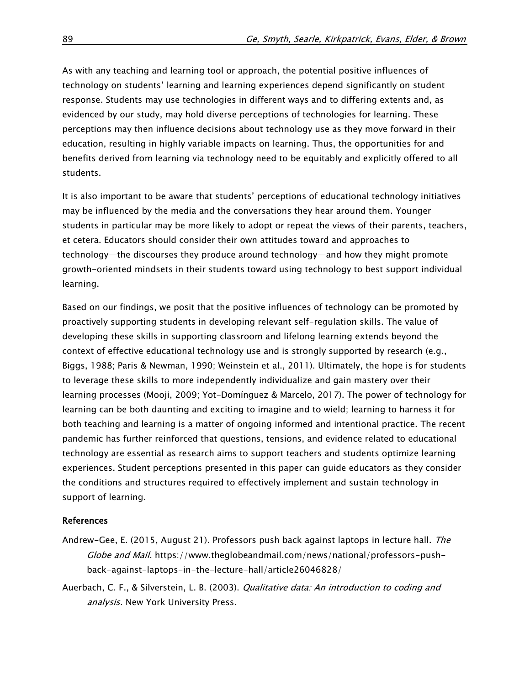As with any teaching and learning tool or approach, the potential positive influences of technology on students' learning and learning experiences depend significantly on student response. Students may use technologies in different ways and to differing extents and, as evidenced by our study, may hold diverse perceptions of technologies for learning. These perceptions may then influence decisions about technology use as they move forward in their education, resulting in highly variable impacts on learning. Thus, the opportunities for and benefits derived from learning via technology need to be equitably and explicitly offered to all students.

It is also important to be aware that students' perceptions of educational technology initiatives may be influenced by the media and the conversations they hear around them. Younger students in particular may be more likely to adopt or repeat the views of their parents, teachers, et cetera. Educators should consider their own attitudes toward and approaches to technology—the discourses they produce around technology—and how they might promote growth-oriented mindsets in their students toward using technology to best support individual learning.

Based on our findings, we posit that the positive influences of technology can be promoted by proactively supporting students in developing relevant self-regulation skills. The value of developing these skills in supporting classroom and lifelong learning extends beyond the context of effective educational technology use and is strongly supported by research (e.g., Biggs, 1988; Paris & Newman, 1990; Weinstein et al., 2011). Ultimately, the hope is for students to leverage these skills to more independently individualize and gain mastery over their learning processes (Mooji, 2009; Yot-Domínguez & Marcelo, 2017). The power of technology for learning can be both daunting and exciting to imagine and to wield; learning to harness it for both teaching and learning is a matter of ongoing informed and intentional practice. The recent pandemic has further reinforced that questions, tensions, and evidence related to educational technology are essential as research aims to support teachers and students optimize learning experiences. Student perceptions presented in this paper can guide educators as they consider the conditions and structures required to effectively implement and sustain technology in support of learning.

## References

- Andrew-Gee, E. (2015, August 21). Professors push back against laptops in lecture hall. The Globe and Mail. [https://www.theglobeandmail.com/news/national/professors-push](https://www.theglobeandmail.com/news/national/professors-push-back-against-laptops-in-the-lecture-hall/article26046828/)[back-against-laptops-in-the-lecture-hall/article26046828/](https://www.theglobeandmail.com/news/national/professors-push-back-against-laptops-in-the-lecture-hall/article26046828/)
- Auerbach, C. F., & Silverstein, L. B. (2003). *Qualitative data: An introduction to coding and* analysis. New York University Press.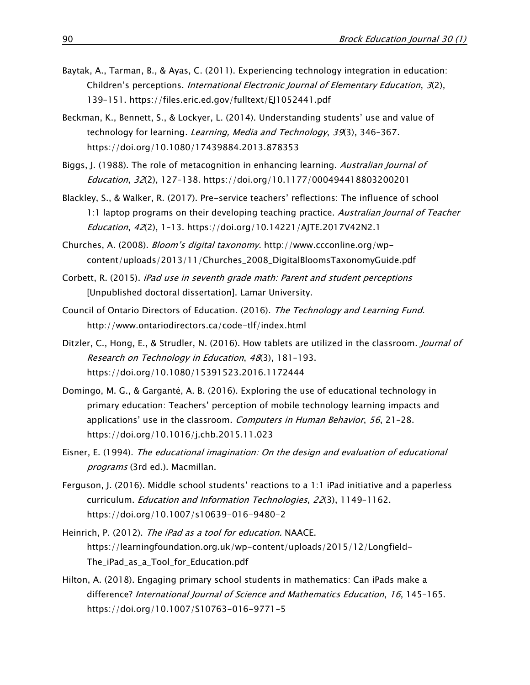- Baytak, A., Tarman, B., & Ayas, C. (2011). Experiencing technology integration in education: Children's perceptions. International Electronic Journal of Elementary Education, 3(2), 139–151.<https://files.eric.ed.gov/fulltext/EJ1052441.pdf>
- Beckman, K., Bennett, S., & Lockyer, L. (2014). Understanding students' use and value of technology for learning. Learning, Media and Technology, 39(3), 346-367. <https://doi.org/10.1080/17439884.2013.878353>
- Biggs, J. (1988). The role of metacognition in enhancing learning. Australian Journal of Education, 32(2), 127–138.<https://doi.org/10.1177/000494418803200201>
- Blackley, S., & Walker, R. (2017). Pre-service teachers' reflections: The influence of school 1:1 laptop programs on their developing teaching practice. Australian Journal of Teacher Education, 42(2), 1–13.<https://doi.org/10.14221/AJTE.2017V42N2.1>
- Churches, A. (2008). Bloom's digital taxonomy. [http://www.ccconline.org/wp](http://www.ccconline.org/wp-content/uploads/2013/11/Churches_2008_DigitalBloomsTaxonomyGuide.pdf)[content/uploads/2013/11/Churches\\_2008\\_DigitalBloomsTaxonomyGuide.pdf](http://www.ccconline.org/wp-content/uploads/2013/11/Churches_2008_DigitalBloomsTaxonomyGuide.pdf)
- Corbett, R. (2015). iPad use in seventh grade math: Parent and student perceptions [Unpublished doctoral dissertation]. Lamar University.
- Council of Ontario Directors of Education. (2016). The Technology and Learning Fund. <http://www.ontariodirectors.ca/code-tlf/index.html>
- Ditzler, C., Hong, E., & Strudler, N. (2016). How tablets are utilized in the classroom. *Journal of* Research on Technology in Education, 48(3), 181–193. <https://doi.org/10.1080/15391523.2016.1172444>
- Domingo, M. G., & Garganté, A. B. (2016). Exploring the use of educational technology in primary education: Teachers' perception of mobile technology learning impacts and applications' use in the classroom. Computers in Human Behavior, 56, 21-28. <https://doi.org/10.1016/j.chb.2015.11.023>
- Eisner, E. (1994). The educational imagination: On the design and evaluation of educational programs (3rd ed.). Macmillan.
- Ferguson, J. (2016). Middle school students' reactions to a 1:1 iPad initiative and a paperless curriculum. Education and Information Technologies, 22(3), 1149–1162. <https://doi.org/10.1007/s10639-016-9480-2>
- Heinrich, P. (2012). The iPad as a tool for education. NAACE. [https://learningfoundation.org.uk/wp-content/uploads/2015/12/Longfield-](https://learningfoundation.org.uk/wp-content/uploads/2015/12/Longfield-The_iPad_as_a_Tool_for_Education.pdf)[The\\_iPad\\_as\\_a\\_Tool\\_for\\_Education.pdf](https://learningfoundation.org.uk/wp-content/uploads/2015/12/Longfield-The_iPad_as_a_Tool_for_Education.pdf)
- Hilton, A. (2018). Engaging primary school students in mathematics: Can iPads make a difference? International Journal of Science and Mathematics Education, 16, 145–165. <https://doi.org/10.1007/S10763-016-9771-5>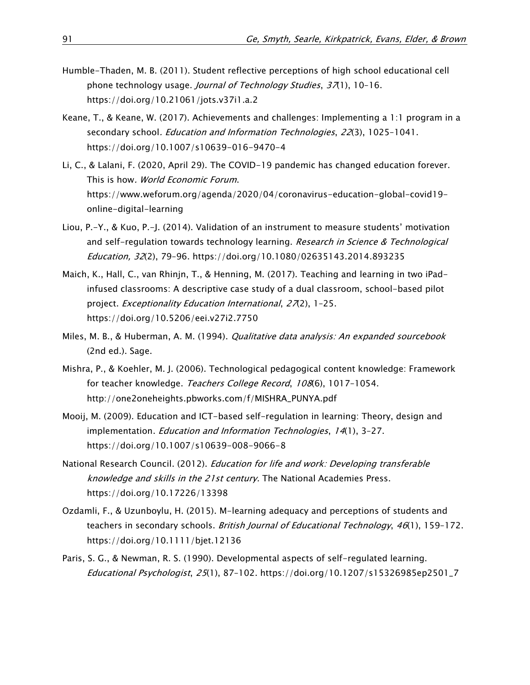- Humble-Thaden, M. B. (2011). Student reflective perceptions of high school educational cell phone technology usage. Journal of Technology Studies, 37(1), 10-16. <https://doi.org/10.21061/jots.v37i1.a.2>
- Keane, T., & Keane, W. (2017). Achievements and challenges: Implementing a 1:1 program in a secondary school. Education and Information Technologies, 22(3), 1025-1041. <https://doi.org/10.1007/s10639-016-9470-4>
- Li, C., & Lalani, F. (2020, April 29). The COVID-19 pandemic has changed education forever. This is how. World Economic Forum. [https://www.weforum.org/agenda/2020/04/coronavirus-education-global-covid19](https://www.weforum.org/agenda/2020/04/coronavirus-education-global-covid19-online-digital-learning) [online-digital-learning](https://www.weforum.org/agenda/2020/04/coronavirus-education-global-covid19-online-digital-learning)
- Liou, P.-Y., & Kuo, P.-J. (2014). Validation of an instrument to measure students' motivation and self-regulation towards technology learning. Research in Science & Technological Education, 32(2), 79–96.<https://doi.org/10.1080/02635143.2014.893235>
- Maich, K., Hall, C., van Rhinjn, T., & Henning, M. (2017). Teaching and learning in two iPadinfused classrooms: A descriptive case study of a dual classroom, school-based pilot project. Exceptionality Education International, 27(2), 1-25. <https://doi.org/10.5206/eei.v27i2.7750>
- Miles, M. B., & Huberman, A. M. (1994). Qualitative data analysis: An expanded sourcebook (2nd ed.). Sage.
- Mishra, P., & Koehler, M. J. (2006). Technological pedagogical content knowledge: Framework for teacher knowledge. Teachers College Record, 108(6), 1017-1054. [http://one2oneheights.pbworks.com/f/MISHRA\\_PUNYA.pdf](http://one2oneheights.pbworks.com/f/MISHRA_PUNYA.pdf)
- Mooij, M. (2009). Education and ICT-based self-regulation in learning: Theory, design and implementation. Education and Information Technologies, 14(1), 3–27. <https://doi.org/10.1007/s10639-008-9066-8>
- National Research Council. (2012). Education for life and work: Developing transferable knowledge and skills in the 21st century. The National Academies Press. <https://doi.org/10.17226/13398>
- Ozdamli, F., & Uzunboylu, H. (2015). M-learning adequacy and perceptions of students and teachers in secondary schools. British Journal of Educational Technology, 46(1), 159-172. <https://doi.org/10.1111/bjet.12136>
- Paris, S. G., & Newman, R. S. (1990). Developmental aspects of self-regulated learning. Educational Psychologist, 25(1), 87–102. [https://doi.org/10.1207/s15326985ep2501\\_7](https://doi.org/10.1207/s15326985ep2501_7)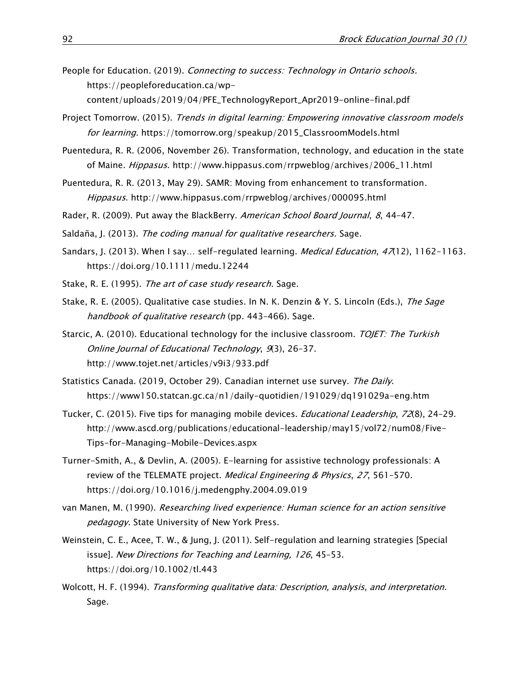- People for Education. (2019). Connecting to success: Technology in Ontario schools. [https://peopleforeducation.ca/wp](https://peopleforeducation.ca/wp-content/uploads/2019/04/PFE_TechnologyReport_Apr2019-online-final.pdf)[content/uploads/2019/04/PFE\\_TechnologyReport\\_Apr2019-online-final.pdf](https://peopleforeducation.ca/wp-content/uploads/2019/04/PFE_TechnologyReport_Apr2019-online-final.pdf)
- Project Tomorrow. (2015). Trends in digital learning: Empowering innovative classroom models for learning. [https://tomorrow.org/speakup/2015\\_ClassroomModels.html](https://tomorrow.org/speakup/2015_ClassroomModels.html)
- Puentedura, R. R. (2006, November 26). Transformation, technology, and education in the state of Maine. Hippasus. [http://www.hippasus.com/rrpweblog/archives/2006\\_11.html](http://www.hippasus.com/rrpweblog/archives/2006_11.html)
- Puentedura, R. R. (2013, May 29). SAMR: Moving from enhancement to transformation. Hippasus.<http://www.hippasus.com/rrpweblog/archives/000095.html>
- Rader, R. (2009). Put away the BlackBerry. American School Board Journal, 8, 44-47.
- Saldaña, J. (2013). The coding manual for qualitative researchers. Sage.
- Sandars, J. (2013). When I say... self-regulated learning. *Medical Education*,  $47(12)$ , 1162-1163. <https://doi.org/10.1111/medu.12244>
- Stake, R. E. (1995). The art of case study research. Sage.
- Stake, R. E. (2005). Qualitative case studies. In N. K. Denzin & Y. S. Lincoln (Eds.), The Sage handbook of qualitative research (pp. 443-466). Sage.
- Starcic, A. (2010). Educational technology for the inclusive classroom. TOJET: The Turkish Online Journal of Educational Technology, 9(3), 26–37. <http://www.tojet.net/articles/v9i3/933.pdf>
- Statistics Canada. (2019, October 29). Canadian internet use survey. The Daily. <https://www150.statcan.gc.ca/n1/daily-quotidien/191029/dq191029a-eng.htm>
- Tucker, C. (2015). Five tips for managing mobile devices. *Educational Leadership*, 72(8), 24-29. [http://www.ascd.org/publications/educational-leadership/may15/vol72/num08/Five-](http://www.ascd.org/publications/educational-leadership/may15/vol72/num08/Five-Tips-for-Managing-Mobile-Devices.aspx)[Tips-for-Managing-Mobile-Devices.aspx](http://www.ascd.org/publications/educational-leadership/may15/vol72/num08/Five-Tips-for-Managing-Mobile-Devices.aspx)
- Turner-Smith, A., & Devlin, A. (2005). E-learning for assistive technology professionals: A review of the TELEMATE project. Medical Engineering & Physics, 27, 561-570. <https://doi.org/10.1016/j.medengphy.2004.09.019>
- van Manen, M. (1990). Researching lived experience: Human science for an action sensitive pedagogy. State University of New York Press.
- Weinstein, C. E., Acee, T. W., & Jung, J. (2011). Self-regulation and learning strategies [Special issue]. New Directions for Teaching and Learning, 126, 45–53. <https://doi.org/10.1002/tl.443>
- Wolcott, H. F. (1994). Transforming qualitative data: Description, analysis, and interpretation. Sage.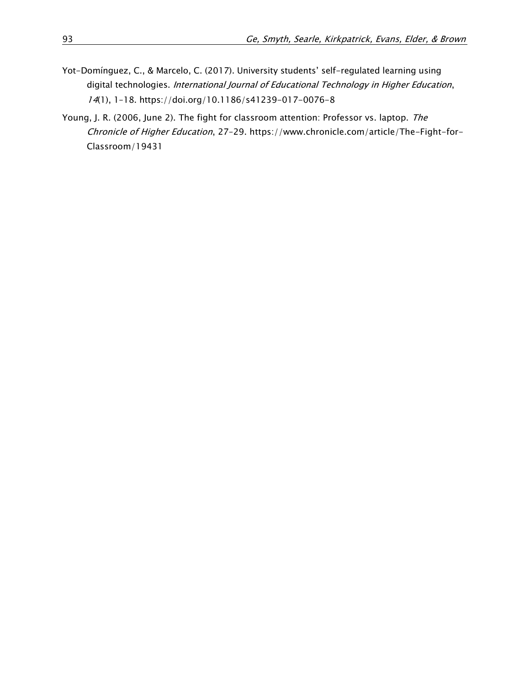- Yot-Domínguez, C., & Marcelo, C. (2017). University students' self-regulated learning using digital technologies. International Journal of Educational Technology in Higher Education, 14(1), 1–18.<https://doi.org/10.1186/s41239-017-0076-8>
- Young, J. R. (2006, June 2). The fight for classroom attention: Professor vs. laptop. The Chronicle of Higher Education, 27–29. [https://www.chronicle.com/article/The-Fight-for-](https://www.chronicle.com/article/The-Fight-for-Classroom/19431)[Classroom/19431](https://www.chronicle.com/article/The-Fight-for-Classroom/19431)